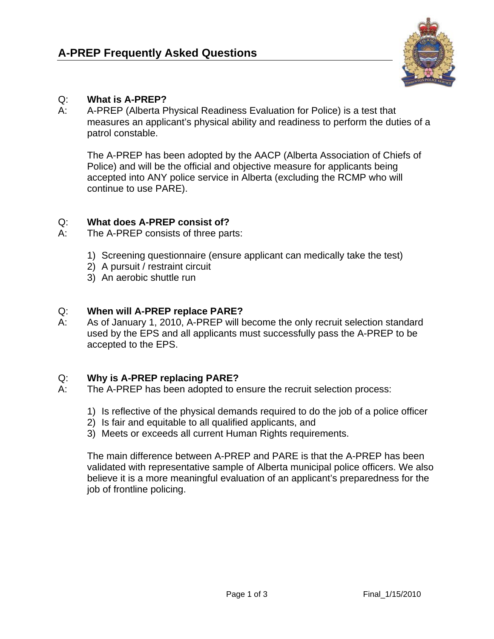

# Q: **What is A-PREP?**

A: A-PREP (Alberta Physical Readiness Evaluation for Police) is a test that measures an applicant's physical ability and readiness to perform the duties of a patrol constable.

The A-PREP has been adopted by the AACP (Alberta Association of Chiefs of Police) and will be the official and objective measure for applicants being accepted into ANY police service in Alberta (excluding the RCMP who will continue to use PARE).

## Q: **What does A-PREP consist of?**

- A: The A-PREP consists of three parts:
	- 1) Screening questionnaire (ensure applicant can medically take the test)
	- 2) A pursuit / restraint circuit
	- 3) An aerobic shuttle run

# Q: **When will A-PREP replace PARE?**

A: As of January 1, 2010, A-PREP will become the only recruit selection standard used by the EPS and all applicants must successfully pass the A-PREP to be accepted to the EPS.

## Q: **Why is A-PREP replacing PARE?**

- A: The A-PREP has been adopted to ensure the recruit selection process:
	- 1) Is reflective of the physical demands required to do the job of a police officer
	- 2) Is fair and equitable to all qualified applicants, and
	- 3) Meets or exceeds all current Human Rights requirements.

 The main difference between A-PREP and PARE is that the A-PREP has been validated with representative sample of Alberta municipal police officers. We also believe it is a more meaningful evaluation of an applicant's preparedness for the job of frontline policing.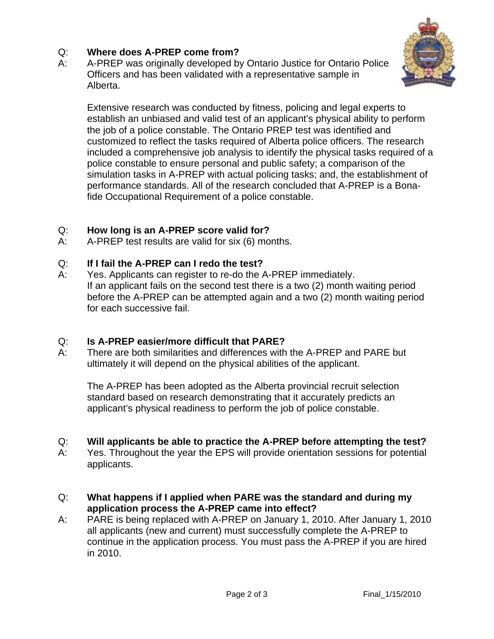# Q: **Where does A-PREP come from?**

A: A-PREP was originally developed by Ontario Justice for Ontario Police Officers and has been validated with a representative sample in Alberta.



Extensive research was conducted by fitness, policing and legal experts to establish an unbiased and valid test of an applicant's physical ability to perform the job of a police constable. The Ontario PREP test was identified and customized to reflect the tasks required of Alberta police officers. The research included a comprehensive job analysis to identify the physical tasks required of a police constable to ensure personal and public safety; a comparison of the simulation tasks in A-PREP with actual policing tasks; and, the establishment of performance standards. All of the research concluded that A-PREP is a Bonafide Occupational Requirement of a police constable.

### Q: **How long is an A-PREP score valid for?**

A: A-PREP test results are valid for six (6) months.

### Q: **If I fail the A-PREP can I redo the test?**

A: Yes. Applicants can register to re-do the A-PREP immediately. If an applicant fails on the second test there is a two (2) month waiting period before the A-PREP can be attempted again and a two (2) month waiting period for each successive fail.

## Q: **Is A-PREP easier/more difficult that PARE?**

A: There are both similarities and differences with the A-PREP and PARE but ultimately it will depend on the physical abilities of the applicant.

The A-PREP has been adopted as the Alberta provincial recruit selection standard based on research demonstrating that it accurately predicts an applicant's physical readiness to perform the job of police constable.

#### Q: **Will applicants be able to practice the A-PREP before attempting the test?**

- A: Yes. Throughout the year the EPS will provide orientation sessions for potential applicants.
- Q: **What happens if I applied when PARE was the standard and during my application process the A-PREP came into effect?**
- A: PARE is being replaced with A-PREP on January 1, 2010. After January 1, 2010 all applicants (new and current) must successfully complete the A-PREP to continue in the application process. You must pass the A-PREP if you are hired in 2010.